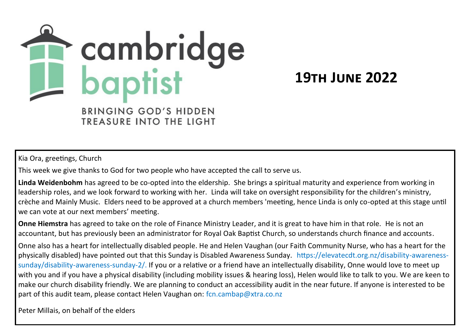

**19th June 2022**

TREASURE INTO THE LIGHT

Kia Ora, greetings, Church

This week we give thanks to God for two people who have accepted the call to serve us.

**Linda Weidenbohm** has agreed to be co-opted into the eldership. She brings a spiritual maturity and experience from working in leadership roles, and we look forward to working with her. Linda will take on oversight responsibility for the children's ministry, crèche and Mainly Music. Elders need to be approved at a church members 'meeting, hence Linda is only co-opted at this stage until we can vote at our next members' meeting.

**Onne Hiemstra** has agreed to take on the role of Finance Ministry Leader, and it is great to have him in that role. He is not an accountant, but has previously been an administrator for Royal Oak Baptist Church, so understands church finance and accounts.

Onne also has a heart for intellectually disabled people. He and Helen Vaughan (our Faith Community Nurse, who has a heart for the physically disabled) have pointed out that this Sunday is Disabled Awareness Sunday. https://elevatecdt.org.nz/disability-awarenesssunday/disability-awareness-sunday-2/. If you or a relative or a friend have an intellectually disability, Onne would love to meet up with you and if you have a physical disability (including mobility issues & hearing loss), Helen would like to talk to you. We are keen to make our church disability friendly. We are planning to conduct an accessibility audit in the near future. If anyone is interested to be part of this audit team, please contact Helen Vaughan on: fcn.cambap@xtra.co.nz

Peter Millais, on behalf of the elders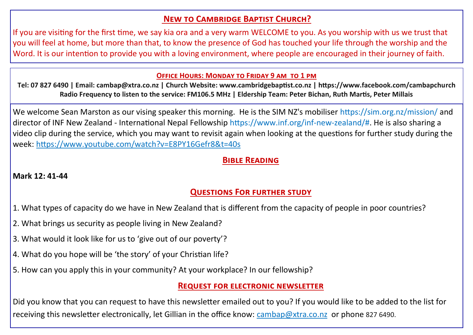# **New to Cambridge Baptist Church?**

If you are visiting for the first time, we say kia ora and a very warm WELCOME to you. As you worship with us we trust that you will feel at home, but more than that, to know the presence of God has touched your life through the worship and the Word. It is our intention to provide you with a loving environment, where people are encouraged in their journey of faith.

#### **Office Hours: Monday to Friday 9 am to 1 pm**

**Tel: 07 827 6490 | Email: cambap@xtra.co.nz | Church Website: www.cambridgebaptist.co.nz | https://www.facebook.com/cambapchurch Radio Frequency to listen to the service: FM106.5 MHz | Eldership Team: Peter Bichan, Ruth Martis, Peter Millais**

We welcome Sean Marston as our vising speaker this morning. He is the SIM NZ's mobiliser https://sim.org.nz/mission/ and director of INF New Zealand - International Nepal Fellowship https://www.inf.org/inf-new-zealand/#. He is also sharing a video clip during the service, which you may want to revisit again when looking at the questions for further study during the week:<https://www.youtube.com/watch?v=E8PY16Gefr8&t=40s>

## **Bible Reading**

## **Mark 12: 41-44**

# **Questions For further study**

- 1. What types of capacity do we have in New Zealand that is different from the capacity of people in poor countries?
- 2. What brings us security as people living in New Zealand?
- 3. What would it look like for us to 'give out of our poverty'?
- 4. What do you hope will be 'the story' of your Christian life?
- 5. How can you apply this in your community? At your workplace? In our fellowship?

## **Request for electronic newsletter**

Did you know that you can request to have this newsletter emailed out to you? If you would like to be added to the list for receiving this newsletter electronically, let Gillian in the office know: [cambap@xtra.co.nz](mailto:Office%20Cambridge%20Baptist%20Church%20%3ccambap@xtra.co.nz%3e) or phone 827 6490.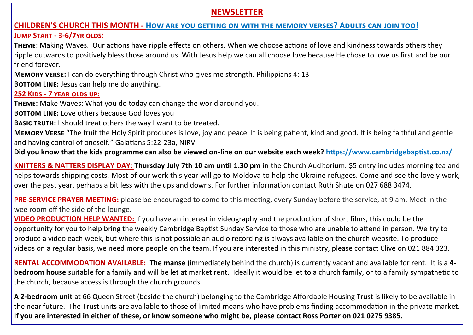## **NEWSLETTER**

#### **CHILDREN'S CHURCH THIS MONTH - How are you getting on with the memory verses? Adults can join too!**

#### **Jump Start - 3-6/7yr olds:**

**Theme**: Making Waves. Our actions have ripple effects on others. When we choose actions of love and kindness towards others they ripple outwards to positively bless those around us. With Jesus help we can all choose love because He chose to love us first and be our friend forever.

**Memory verse:** I can do everything through Christ who gives me strength. Philippians 4: 13 **BOTTOM LINE:** Jesus can help me do anything.

#### **252 Kids - 7 year olds up:**

**Theme:** Make Waves: What you do today can change the world around you.

**BOTTOM LINE:** Love others because God loves you

**Basic truth:** I should treat others the way I want to be treated.

**Memory Verse** "The fruit the Holy Spirit produces is love, joy and peace. It is being patient, kind and good. It is being faithful and gentle and having control of oneself." Galatians 5:22-23a, NIRV

**Did you know that the kids programme can also be viewed on-line on our website each week? https://www.cambridgebaptist.co.nz/**

**KNITTERS & NATTERS DISPLAY DAY: Thursday July 7th 10 am until 1.30 pm** in the Church Auditorium. \$5 entry includes morning tea and helps towards shipping costs. Most of our work this year will go to Moldova to help the Ukraine refugees. Come and see the lovely work, over the past year, perhaps a bit less with the ups and downs. For further information contact Ruth Shute on 027 688 3474.

**PRE-SERVICE PRAYER MEETING:** please be encouraged to come to this meeting, every Sunday before the service, at 9 am. Meet in the wee room off the side of the lounge.

**VIDEO PRODUCTION HELP WANTED:** if you have an interest in videography and the production of short films, this could be the opportunity for you to help bring the weekly Cambridge Baptist Sunday Service to those who are unable to attend in person. We try to produce a video each week, but where this is not possible an audio recording is always available on the church website. To produce videos on a regular basis, we need more people on the team. If you are interested in this ministry, please contact Clive on 021 884 323.

**RENTAL ACCOMMODATION AVAILABLE: The manse** (immediately behind the church) is currently vacant and available for rent. It is a **4 bedroom house** suitable for a family and will be let at market rent. Ideally it would be let to a church family, or to a family sympathetic to the church, because access is through the church grounds.

**A 2-bedroom unit** at 66 Queen Street (beside the church) belonging to the Cambridge Affordable Housing Trust is likely to be available in the near future. The Trust units are available to those of limited means who have problems finding accommodation in the private market. **If you are interested in either of these, or know someone who might be, please contact Ross Porter on 021 0275 9385.**